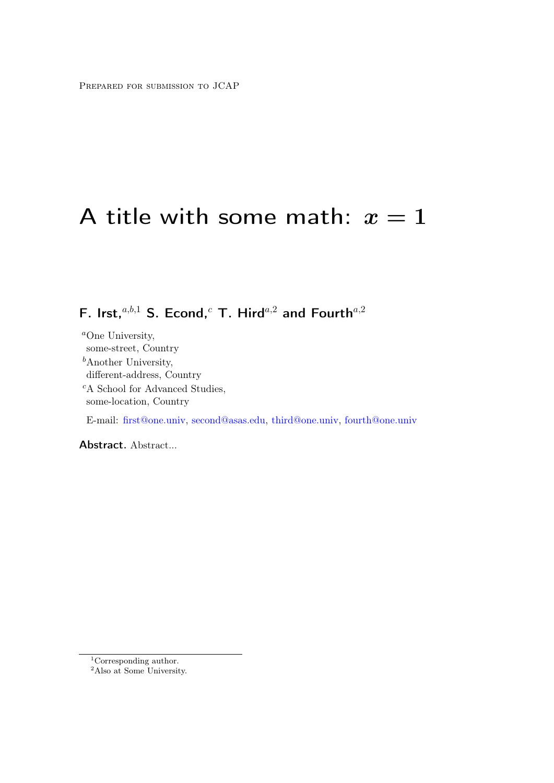# A title with some math:  $x=1$

F. Irst,<sup>a,b,1</sup> S. Econd,<sup>c</sup> T. Hird<sup>a,2</sup> and Fourth<sup>a,2</sup>

<sup>a</sup>One University, some-street, Country  $<sup>b</sup>$ Another University,</sup> different-address, Country <sup>c</sup>A School for Advanced Studies, some-location, Country E-mail: [first@one.univ,](mailto:first@one.univ) [second@asas.edu,](mailto:second@asas.edu) [third@one.univ,](mailto:third@one.univ) [fourth@one.univ](mailto:fourth@one.univ)

Abstract. Abstract...

<sup>&</sup>lt;sup>1</sup>Corresponding author.

 $2$ Also at Some University.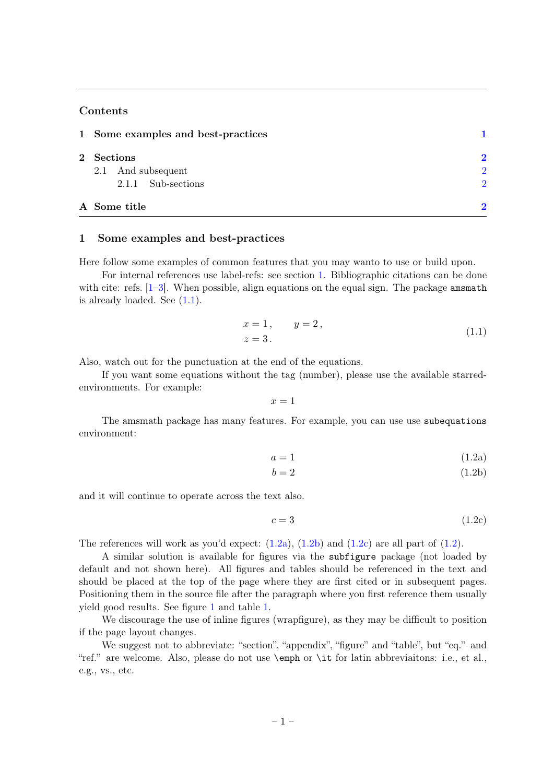#### Contents

| 1 Some examples and best-practices |               |
|------------------------------------|---------------|
| 2 Sections                         | $\mathbf{D}$  |
| 2.1 And subsequent                 | $\mathcal{D}$ |
| 2.1.1 Sub-sections                 | $\mathcal{D}$ |
| A Some title                       |               |

#### <span id="page-1-0"></span>1 Some examples and best-practices

Here follow some examples of common features that you may wanto to use or build upon.

For internal references use label-refs: see section [1.](#page-1-0) Bibliographic citations can be done with cite: refs.  $[1-3]$  $[1-3]$ . When possible, align equations on the equal sign. The package amsmath is already loaded. See  $(1.1)$ .

$$
x = 1, \t y = 2, \n z = 3.
$$
\n(1.1)

<span id="page-1-1"></span>Also, watch out for the punctuation at the end of the equations.

If you want some equations without the tag (number), please use the available starredenvironments. For example:

$$
x = 1
$$

<span id="page-1-5"></span>The amsmath package has many features. For example, you can use use subequations environment:

<span id="page-1-2"></span>
$$
a = 1 \tag{1.2a}
$$

<span id="page-1-3"></span>
$$
b = 2\tag{1.2b}
$$

and it will continue to operate across the text also.

<span id="page-1-4"></span>
$$
c = 3 \tag{1.2c}
$$

The references will work as you'd expect:  $(1.2a)$ ,  $(1.2b)$  and  $(1.2c)$  are all part of  $(1.2)$ .

A similar solution is available for figures via the subfigure package (not loaded by default and not shown here). All figures and tables should be referenced in the text and should be placed at the top of the page where they are first cited or in subsequent pages. Positioning them in the source file after the paragraph where you first reference them usually yield good results. See figure [1](#page-2-6) and table [1.](#page-2-7)

We discourage the use of inline figures (wrapfigure), as they may be difficult to position if the page layout changes.

We suggest not to abbreviate: "section", "appendix", "figure" and "table", but "eq." and "ref." are welcome. Also, please do not use \emph or \it for latin abbreviaitons: i.e., et al., e.g., vs., etc.